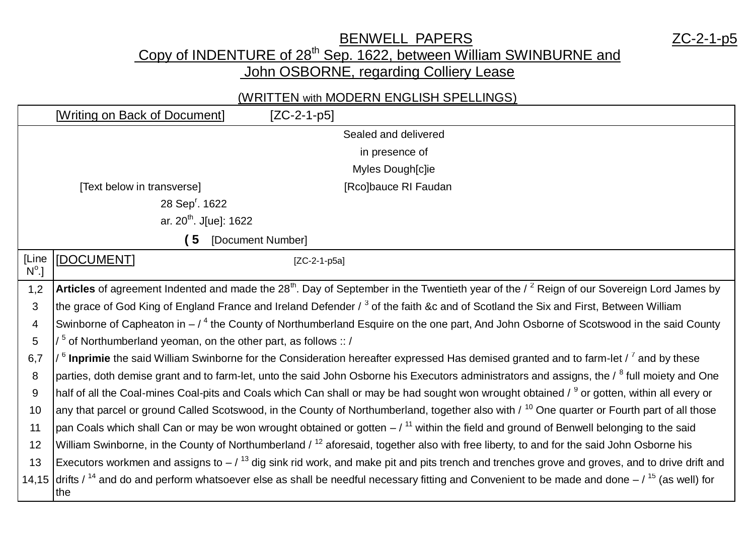BENWELL PAPERS AND MODEL TO MAKE THE RESERVE TO A 2C-2-1-p5

Copy of INDENTURE of 28<sup>th</sup> Sep. 1622, between William SWINBURNE and

John OSBORNE, regarding Colliery Lease

## (WRITTEN with MODERN ENGLISH SPELLINGS)

|                            | [Writing on Back of Document]                                                                                                                                    | $[ZC-2-1-p5]$                                                                                                                                                              |  |  |  |  |
|----------------------------|------------------------------------------------------------------------------------------------------------------------------------------------------------------|----------------------------------------------------------------------------------------------------------------------------------------------------------------------------|--|--|--|--|
|                            |                                                                                                                                                                  | Sealed and delivered                                                                                                                                                       |  |  |  |  |
|                            | in presence of                                                                                                                                                   |                                                                                                                                                                            |  |  |  |  |
|                            |                                                                                                                                                                  | Myles Dough[c]ie                                                                                                                                                           |  |  |  |  |
|                            | [Text below in transverse]                                                                                                                                       | [Rco]bauce RI Faudan                                                                                                                                                       |  |  |  |  |
| 28 Sep <sup>r</sup> . 1622 |                                                                                                                                                                  |                                                                                                                                                                            |  |  |  |  |
|                            | ar. 20 <sup>th</sup> . J[ue]: 1622                                                                                                                               |                                                                                                                                                                            |  |  |  |  |
|                            | 5 [Document Number]                                                                                                                                              |                                                                                                                                                                            |  |  |  |  |
| [Line<br>$N^{\circ}$ .]    | [DOCUMENT]                                                                                                                                                       | $[ZC-2-1-p5a]$                                                                                                                                                             |  |  |  |  |
| 1,2                        | Articles of agreement Indented and made the 28 <sup>th</sup> . Day of September in the Twentieth year of the $\ell^2$ Reign of our Sovereign Lord James by       |                                                                                                                                                                            |  |  |  |  |
| 3                          | the grace of God King of England France and Ireland Defender / 3 of the faith &c and of Scotland the Six and First, Between William                              |                                                                                                                                                                            |  |  |  |  |
| 4                          | Swinborne of Capheaton in $-74$ the County of Northumberland Esquire on the one part, And John Osborne of Scotswood in the said County                           |                                                                                                                                                                            |  |  |  |  |
| 5                          | $/5$ of Northumberland yeoman, on the other part, as follows :: /                                                                                                |                                                                                                                                                                            |  |  |  |  |
| 6,7                        | $/$ <sup>6</sup> Inprimie the said William Swinborne for the Consideration hereafter expressed Has demised granted and to farm-let $/$ <sup>7</sup> and by these |                                                                                                                                                                            |  |  |  |  |
| 8                          | parties, doth demise grant and to farm-let, unto the said John Osborne his Executors administrators and assigns, the / <sup>8</sup> full moiety and One          |                                                                                                                                                                            |  |  |  |  |
| 9                          | half of all the Coal-mines Coal-pits and Coals which Can shall or may be had sought won wrought obtained / <sup>9</sup> or gotten, within all every or           |                                                                                                                                                                            |  |  |  |  |
| 10                         | any that parcel or ground Called Scotswood, in the County of Northumberland, together also with / <sup>10</sup> One quarter or Fourth part of all those          |                                                                                                                                                                            |  |  |  |  |
| 11                         | pan Coals which shall Can or may be won wrought obtained or gotten $-7^{11}$ within the field and ground of Benwell belonging to the said                        |                                                                                                                                                                            |  |  |  |  |
| 12                         | William Swinborne, in the County of Northumberland / <sup>12</sup> aforesaid, together also with free liberty, to and for the said John Osborne his              |                                                                                                                                                                            |  |  |  |  |
| 13                         | Executors workmen and assigns to $-$ / $^{13}$ dig sink rid work, and make pit and pits trench and trenches grove and groves, and to drive drift and             |                                                                                                                                                                            |  |  |  |  |
|                            | ∣the                                                                                                                                                             | 14,15 drifts / <sup>14</sup> and do and perform whatsoever else as shall be needful necessary fitting and Convenient to be made and done $-$ / <sup>15</sup> (as well) for |  |  |  |  |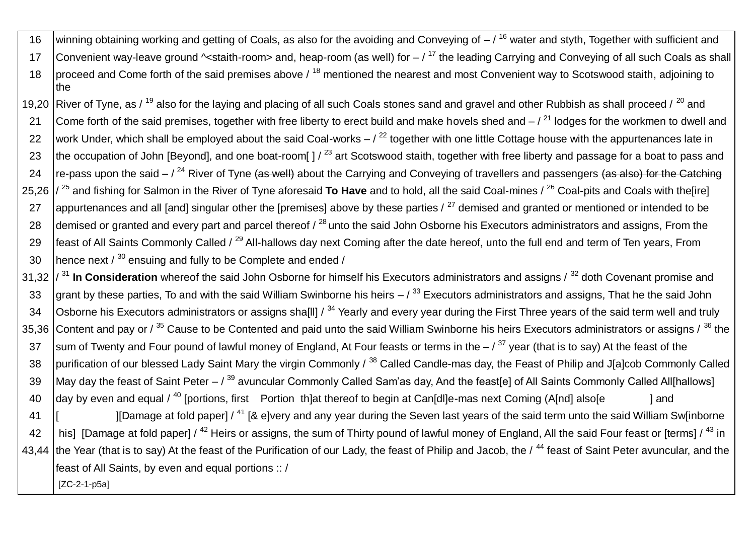16 winning obtaining working and getting of Coals, as also for the avoiding and Conveying of  $-7^{16}$  water and styth, Together with sufficient and 17 Convenient way-leave ground  $\sim$ staith-room> and, heap-room (as well) for  $/$ <sup>17</sup> the leading Carrying and Conveying of all such Coals as shall 18 proceed and Come forth of the said premises above  $\ell$ <sup>18</sup> mentioned the nearest and most Convenient way to Scotswood staith, adjoining to the

19,20 River of Tyne, as / <sup>19</sup> also for the laying and placing of all such Coals stones sand and gravel and other Rubbish as shall proceed / <sup>20</sup> and 21 Come forth of the said premises, together with free liberty to erect build and make hovels shed and  $-7^{21}$  lodges for the workmen to dwell and 22 work Under, which shall be employed about the said Coal-works  $/$ <sup>22</sup> together with one little Cottage house with the appurtenances late in 23 the occupation of John [Beyond], and one boat-room[ ]  $/$  <sup>23</sup> art Scotswood staith, together with free liberty and passage for a boat to pass and 24  $\frac{1}{2}$  re-pass upon the said –  $\frac{24}{3}$  River of Tyne (as well) about the Carrying and Conveying of travellers and passengers (as also) for the Catching 25,26 / <sup>25</sup> and fishing for Salmon in the River of Tyne aforesaid **To Have** and to hold, all the said Coal-mines / <sup>26</sup> Coal-pits and Coals with the[ire] 27 appurtenances and all [and] singular other the [premises] above by these parties  $/27$  demised and granted or mentioned or intended to be 28 demised or granted and every part and parcel thereof  $\ell^{28}$  unto the said John Osborne his Executors administrators and assigns, From the 29 feast of All Saints Commonly Called / <sup>29</sup> All-hallows day next Coming after the date hereof, unto the full end and term of Ten years, From 30 | hence next  $/30$  ensuing and fully to be Complete and ended  $/$ 

31,32 / <sup>31</sup> **In Consideration** whereof the said John Osborne for himself his Executors administrators and assigns / <sup>32</sup> doth Covenant promise and 33 grant by these parties, To and with the said William Swinborne his heirs  $/$ <sup>33</sup> Executors administrators and assigns. That he the said John 34 | Osborne his Executors administrators or assigns shalll]  $\lambda^{34}$  Yearly and every year during the First Three years of the said term well and truly 35.36 Content and pay or / <sup>35</sup> Cause to be Contented and paid unto the said William Swinborne his heirs Executors administrators or assigns / <sup>36</sup> the 37 sum of Twenty and Four pound of lawful money of England, At Four feasts or terms in the  $/$ <sup>37</sup> year (that is to say) At the feast of the 38 purification of our blessed Lady Saint Mary the virgin Commonly / 38 Called Candle-mas day, the Feast of Philip and J[a]cob Commonly Called 39 May day the feast of Saint Peter  $-$  /  $^{39}$  avuncular Commonly Called Sam'as day, And the feast [e] of All Saints Commonly Called All [hallows] 40  $\vert$  day by even and equal / <sup>40</sup> [portions, first Portion th]at thereof to begin at Can[dl]e-mas next Coming (A[nd] also[e ] and 41 [ ][Damage at fold paper] / <sup>41</sup> [& e]very and any year during the Seven last years of the said term unto the said William Sw[inborne 42  $\parallel$  his] [Damage at fold paper] / <sup>42</sup> Heirs or assigns, the sum of Thirty pound of lawful money of England, All the said Four feast or [terms] / <sup>43</sup> in 43,44 the Year (that is to say) At the feast of the Purification of our Lady, the feast of Philip and Jacob, the / <sup>44</sup> feast of Saint Peter avuncular, and the feast of All Saints, by even and equal portions :: / [ZC-2-1-p5a]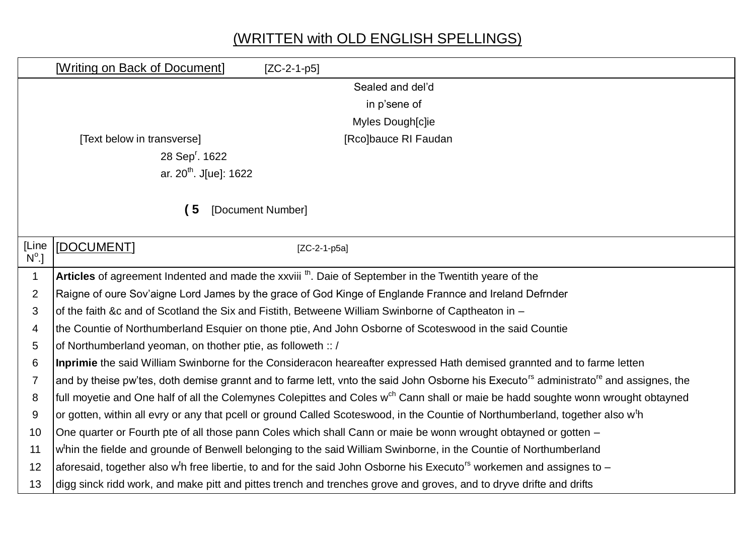## (WRITTEN with OLD ENGLISH SPELLINGS)

|                         | [Writing on Back of Document]                                                                                                                                 | $[ZC-2-1-p5]$  |                      |  |  |  |  |
|-------------------------|---------------------------------------------------------------------------------------------------------------------------------------------------------------|----------------|----------------------|--|--|--|--|
|                         |                                                                                                                                                               |                | Sealed and del'd     |  |  |  |  |
|                         |                                                                                                                                                               |                | in p'sene of         |  |  |  |  |
|                         |                                                                                                                                                               |                | Myles Dough[c]ie     |  |  |  |  |
|                         | [Text below in transverse]                                                                                                                                    |                | [Rco]bauce RI Faudan |  |  |  |  |
|                         | 28 Sep <sup>r</sup> . 1622                                                                                                                                    |                |                      |  |  |  |  |
|                         | ar. 20 <sup>th</sup> . J[ue]: 1622                                                                                                                            |                |                      |  |  |  |  |
|                         |                                                                                                                                                               |                |                      |  |  |  |  |
|                         | (5)<br>[Document Number]                                                                                                                                      |                |                      |  |  |  |  |
|                         |                                                                                                                                                               |                |                      |  |  |  |  |
| [Line<br>$N^{\circ}$ .] | [DOCUMENT]                                                                                                                                                    | $[ZC-2-1-p5a]$ |                      |  |  |  |  |
| $\mathbf 1$             | Articles of agreement Indented and made the xxviii <sup>th</sup> . Daie of September in the Twentith yeare of the                                             |                |                      |  |  |  |  |
| 2                       | Raigne of oure Sov'aigne Lord James by the grace of God Kinge of Englande Frannce and Ireland Defrnder                                                        |                |                      |  |  |  |  |
| 3                       | of the faith &c and of Scotland the Six and Fistith, Betweene William Swinborne of Captheaton in -                                                            |                |                      |  |  |  |  |
| 4                       | the Countie of Northumberland Esquier on thone ptie, And John Osborne of Scoteswood in the said Countie                                                       |                |                      |  |  |  |  |
| 5                       | of Northumberland yeoman, on thother ptie, as followeth :: /                                                                                                  |                |                      |  |  |  |  |
| 6                       | Inprimie the said William Swinborne for the Consideracon heareafter expressed Hath demised grannted and to farme letten                                       |                |                      |  |  |  |  |
| $\overline{7}$          | and by theise pw'tes, doth demise grannt and to farme lett, vnto the said John Osborne his Executo <sup>rs</sup> administrato <sup>re</sup> and assignes, the |                |                      |  |  |  |  |
| 8                       | full moyetie and One half of all the Colemynes Colepittes and Coles w <sup>ch</sup> Cann shall or maie be hadd soughte wonn wrought obtayned                  |                |                      |  |  |  |  |
| 9                       | or gotten, within all evry or any that pcell or ground Called Scoteswood, in the Countie of Northumberland, together also w <sup>t</sup> h                    |                |                      |  |  |  |  |
| 10                      | One quarter or Fourth pte of all those pann Coles which shall Cann or maie be wonn wrought obtayned or gotten -                                               |                |                      |  |  |  |  |
| 11                      | w <sup>t</sup> hin the fielde and grounde of Benwell belonging to the said William Swinborne, in the Countie of Northumberland                                |                |                      |  |  |  |  |
| 12                      | aforesaid, together also w <sup>t</sup> h free libertie, to and for the said John Osborne his Executo <sup>rs</sup> workemen and assignes to -                |                |                      |  |  |  |  |
| 13                      | digg sinck ridd work, and make pitt and pittes trench and trenches grove and groves, and to dryve drifte and drifts                                           |                |                      |  |  |  |  |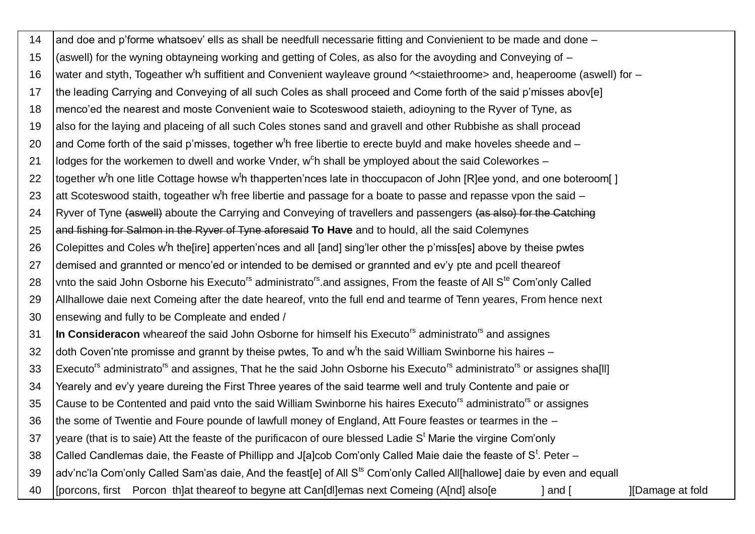$14$ and doe and p'forme whatsoev' ells as shall be needfull necessarie fitting and Convienient to be made and done (aswell) for the wyning obtayneing working and getting of Coles, as also for the avoyding and Conveying of -15 water and styth, Togeather w<sup>t</sup>h suffitient and Convenient wayleave ground ~staiethroome> and, heaperoome (aswell) for -16 the leading Carrying and Conveying of all such Coles as shall proceed and Come forth of the said p'misses abov[e] 17 menco'ed the nearest and moste Convenient waie to Scoteswood staieth, adioyning to the Ryver of Tyne, as 18 also for the laving and placeing of all such Coles stones sand and gravell and other Rubbishe as shall procead 19 and Come forth of the said p'misses, together w<sup>t</sup>h free libertie to erecte buyld and make hoveles sheede and -20 lodges for the workemen to dwell and worke Vnder, w<sup>o</sup>h shall be ymploved about the said Coleworkes –  $21$ 22 together w<sup>t</sup>h one litle Cottage howse w<sup>t</sup>h thapperten'nces late in thoccupacon of John IRIee vond, and one boteroom [] 23 att Scoteswood staith, togeather w<sup>t</sup>h free libertie and passage for a boate to passe and repasse vpon the said -Ryver of Tyne (aswell) aboute the Carrying and Conveying of travellers and passengers (as also) for the Catching 24 and fishing for Salmon in the Ryver of Tyne aforesaid To Have and to hould, all the said Colemynes 25 Colepittes and Coles w<sup>t</sup>h the lirel apperten'nces and all [and] sing'ler other the p'miss[es] above by theise pwtes 26 demised and grannted or menco'ed or intended to be demised or grannted and ev'y pte and pcell theareof 27 vnto the said John Osborne his Executo<sup>rs</sup> administrato<sup>rs</sup> and assignes, From the feaste of All S<sup>te</sup> Com'only Called 28 Allhallowe daie next Comeing after the date heareof, vnto the full end and tearme of Tenn veares. From hence next 29 ensewing and fully to be Compleate and ended / 30 In Consideracon wheareof the said John Osborne for himself his Executo<sup>rs</sup> administrato<sup>rs</sup> and assignes  $\overline{31}$ doth Coven'nte promisse and grannt by theise pwtes. To and w<sup>t</sup>h the said William Swinborne his haires -32 Executo<sup>rs</sup> administrato<sup>rs</sup> and assignes, That he the said John Osborne his Executo<sup>rs</sup> administrato<sup>rs</sup> or assignes sha[II] 33 Yearely and ev'y yeare dureing the First Three yeares of the said tearme well and truly Contente and paie or  $34$ Cause to be Contented and paid vnto the said William Swinborne his haires Executo<sup>rs</sup> administrato<sup>rs</sup> or assianes 35 the some of Twentie and Foure pounde of lawfull money of England, Att Foure feastes or tearmes in the -36 yeare (that is to saie) Att the feaste of the purificacon of oure blessed Ladie  $S<sup>t</sup>$  Marie the virgine Com'only 37 38 Called Candlemas daie, the Feaste of Phillipp and J[a]cob Com'only Called Maie daie the feaste of S<sup>t</sup>. Peter – adv'nc'la Com'only Called Sam'as daie, And the feast[e] of All S<sup>ts</sup> Com'only Called All[hallowe] daie by even and equall 39 [porcons, first Porcon th]at theareof to begyne att Can[dl]emas next Comeing (A[nd] also[e] **I**[Damage at fold 40  $land [$